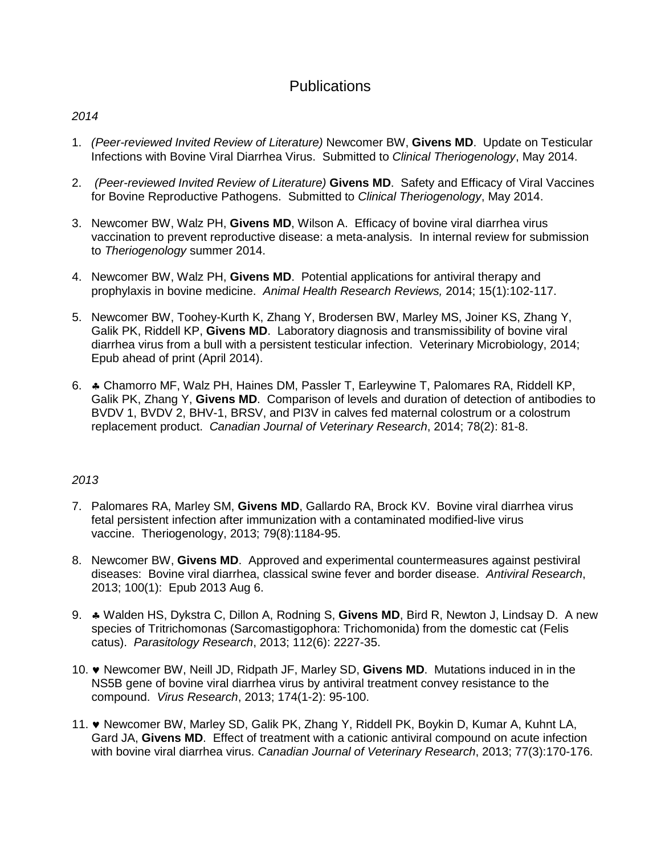# **Publications**

## *2014*

- 1. *(Peer-reviewed Invited Review of Literature)* Newcomer BW, **Givens MD**. Update on Testicular Infections with Bovine Viral Diarrhea Virus. Submitted to *Clinical Theriogenology*, May 2014.
- 2. *(Peer-reviewed Invited Review of Literature)* **Givens MD**. Safety and Efficacy of Viral Vaccines for Bovine Reproductive Pathogens. Submitted to *Clinical Theriogenology*, May 2014.
- 3. Newcomer BW, Walz PH, **Givens MD**, Wilson A. Efficacy of bovine viral diarrhea virus vaccination to prevent reproductive disease: a meta-analysis. In internal review for submission to *Theriogenology* summer 2014.
- 4. Newcomer BW, Walz PH, **Givens MD**. Potential applications for antiviral therapy and prophylaxis in bovine medicine. *Animal Health Research Reviews,* 2014; 15(1):102-117.
- 5. Newcomer BW, Toohey-Kurth K, Zhang Y, Brodersen BW, Marley MS, Joiner KS, Zhang Y, Galik PK, Riddell KP, **Givens MD**. Laboratory diagnosis and transmissibility of bovine viral diarrhea virus from a bull with a persistent testicular infection. Veterinary Microbiology, 2014; Epub ahead of print (April 2014).
- 6. ♣ Chamorro MF, Walz PH, Haines DM, Passler T, Earleywine T, Palomares RA, Riddell KP, Galik PK, Zhang Y, **Givens MD**. Comparison of levels and duration of detection of antibodies to BVDV 1, BVDV 2, BHV-1, BRSV, and PI3V in calves fed maternal colostrum or a colostrum replacement product. *Canadian Journal of Veterinary Research*, 2014; 78(2): 81-8.

- 7. Palomares RA, Marley SM, **Givens MD**, Gallardo RA, Brock KV. Bovine viral diarrhea virus fetal persistent infection after immunization with a contaminated modified-live virus vaccine. Theriogenology, 2013; 79(8):1184-95.
- 8. Newcomer BW, **Givens MD**. Approved and experimental countermeasures against pestiviral diseases: Bovine viral diarrhea, classical swine fever and border disease. *Antiviral Research*, 2013; 100(1): Epub 2013 Aug 6.
- 9. ♣ Walden HS, Dykstra C, Dillon A, Rodning S, **Givens MD**, Bird R, Newton J, Lindsay D. A new species of Tritrichomonas (Sarcomastigophora: Trichomonida) from the domestic cat (Felis catus). *Parasitology Research*, 2013; 112(6): 2227-35.
- 10. ♥ Newcomer BW, Neill JD, Ridpath JF, Marley SD, **Givens MD**. Mutations induced in in the NS5B gene of bovine viral diarrhea virus by antiviral treatment convey resistance to the compound. *Virus Research*, 2013; 174(1-2): 95-100.
- 11. ♥ Newcomer BW, Marley SD, Galik PK, Zhang Y, Riddell PK, Boykin D, Kumar A, Kuhnt LA, Gard JA, **Givens MD**. Effect of treatment with a cationic antiviral compound on acute infection with bovine viral diarrhea virus. *Canadian Journal of Veterinary Research*, 2013; 77(3):170-176.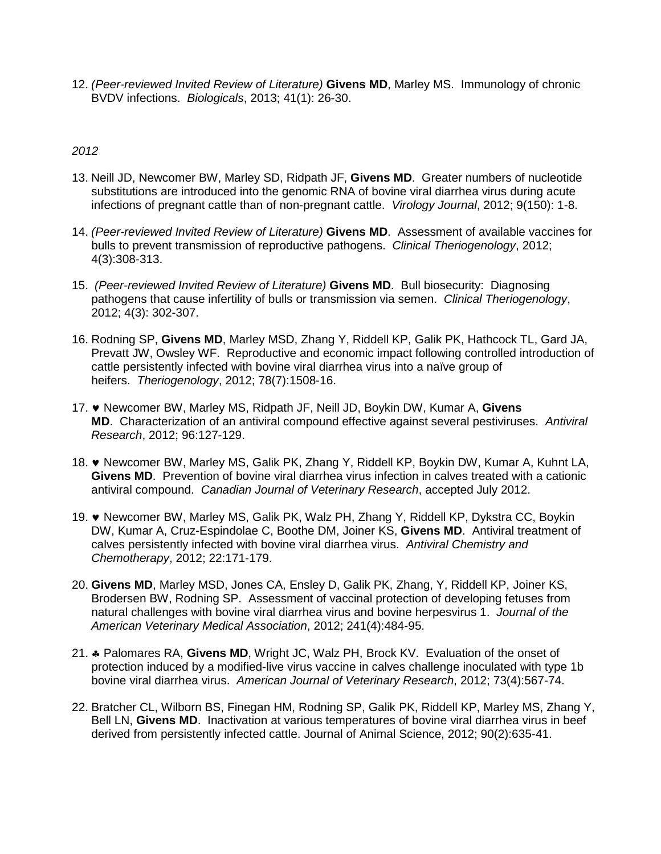12. *(Peer-reviewed Invited Review of Literature)* **Givens MD**, Marley MS. Immunology of chronic BVDV infections. *Biologicals*, 2013; 41(1): 26-30.

- 13. Neill JD, Newcomer BW, Marley SD, Ridpath JF, **Givens MD**. Greater numbers of nucleotide substitutions are introduced into the genomic RNA of bovine viral diarrhea virus during acute infections of pregnant cattle than of non-pregnant cattle. *Virology Journal*, 2012; 9(150): 1-8.
- 14. *(Peer-reviewed Invited Review of Literature)* **Givens MD**. Assessment of available vaccines for bulls to prevent transmission of reproductive pathogens. *Clinical Theriogenology*, 2012; 4(3):308-313.
- 15. *(Peer-reviewed Invited Review of Literature)* **Givens MD**. Bull biosecurity: Diagnosing pathogens that cause infertility of bulls or transmission via semen. *Clinical Theriogenology*, 2012; 4(3): 302-307.
- 16. Rodning SP, **Givens MD**, Marley MSD, Zhang Y, Riddell KP, Galik PK, Hathcock TL, Gard JA, Prevatt JW, Owsley WF. Reproductive and economic impact following controlled introduction of cattle persistently infected with bovine viral diarrhea virus into a naïve group of heifers. *Theriogenology*, 2012; 78(7):1508-16.
- 17. ♥ Newcomer BW, Marley MS, Ridpath JF, Neill JD, Boykin DW, Kumar A, **Givens MD**. Characterization of an antiviral compound effective against several pestiviruses. *Antiviral Research*, 2012; 96:127-129.
- 18. ♥ Newcomer BW, Marley MS, Galik PK, Zhang Y, Riddell KP, Boykin DW, Kumar A, Kuhnt LA, **Givens MD**. Prevention of bovine viral diarrhea virus infection in calves treated with a cationic antiviral compound. *Canadian Journal of Veterinary Research*, accepted July 2012.
- 19. ♥ Newcomer BW, Marley MS, Galik PK, Walz PH, Zhang Y, Riddell KP, Dykstra CC, Boykin DW, Kumar A, Cruz-Espindolae C, Boothe DM, Joiner KS, **Givens MD**. Antiviral treatment of calves persistently infected with bovine viral diarrhea virus. *Antiviral Chemistry and Chemotherapy*, 2012; 22:171-179.
- 20. **Givens MD**, Marley MSD, Jones CA, Ensley D, Galik PK, Zhang, Y, Riddell KP, Joiner KS, Brodersen BW, Rodning SP. Assessment of vaccinal protection of developing fetuses from natural challenges with bovine viral diarrhea virus and bovine herpesvirus 1. *Journal of the American Veterinary Medical Association*, 2012; 241(4):484-95.
- 21. ♣ Palomares RA, **Givens MD**, Wright JC, Walz PH, Brock KV. Evaluation of the onset of protection induced by a modified-live virus vaccine in calves challenge inoculated with type 1b bovine viral diarrhea virus. *American Journal of Veterinary Research*, 2012; 73(4):567-74.
- 22. Bratcher CL, Wilborn BS, Finegan HM, Rodning SP, Galik PK, Riddell KP, Marley MS, Zhang Y, Bell LN, **Givens MD**. Inactivation at various temperatures of bovine viral diarrhea virus in beef derived from persistently infected cattle. Journal of Animal Science, 2012; 90(2):635-41.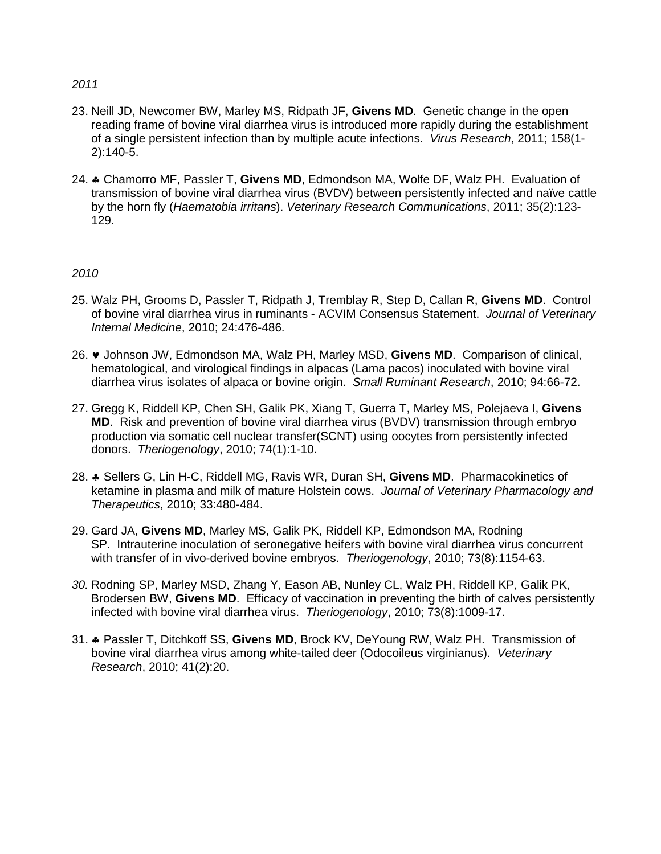- *2011*
- 23. Neill JD, Newcomer BW, Marley MS, Ridpath JF, **Givens MD**. Genetic change in the open reading frame of bovine viral diarrhea virus is introduced more rapidly during the establishment of a single persistent infection than by multiple acute infections. *Virus Research*, 2011; 158(1- 2):140-5.
- 24. ♣ Chamorro MF, Passler T, **Givens MD**, Edmondson MA, Wolfe DF, Walz PH. Evaluation of transmission of bovine viral diarrhea virus (BVDV) between persistently infected and naïve cattle by the horn fly (*Haematobia irritans*). *Veterinary Research Communications*, 2011; 35(2):123- 129.

- 25. Walz PH, Grooms D, Passler T, Ridpath J, Tremblay R, Step D, Callan R, **Givens MD**. Control of bovine viral diarrhea virus in ruminants - ACVIM Consensus Statement. *Journal of Veterinary Internal Medicine*, 2010; 24:476-486.
- 26. ♥ Johnson JW, Edmondson MA, Walz PH, Marley MSD, **Givens MD**. Comparison of clinical, hematological, and virological findings in alpacas (Lama pacos) inoculated with bovine viral diarrhea virus isolates of alpaca or bovine origin. *Small Ruminant Research*, 2010; 94:66-72.
- 27. Gregg K, Riddell KP, Chen SH, Galik PK, Xiang T, Guerra T, Marley MS, Polejaeva I, **Givens MD**. Risk and prevention of bovine viral diarrhea virus (BVDV) transmission through embryo production via somatic cell nuclear transfer(SCNT) using oocytes from persistently infected donors. *Theriogenology*, 2010; 74(1):1-10.
- 28. ♣ Sellers G, Lin H-C, Riddell MG, Ravis WR, Duran SH, **Givens MD**. Pharmacokinetics of ketamine in plasma and milk of mature Holstein cows. *Journal of Veterinary Pharmacology and Therapeutics*, 2010; 33:480-484.
- 29. Gard JA, **Givens MD**, Marley MS, Galik PK, Riddell KP, Edmondson MA, Rodning SP. Intrauterine inoculation of seronegative heifers with bovine viral diarrhea virus concurrent with transfer of in vivo-derived bovine embryos. *Theriogenology*, 2010; 73(8):1154-63.
- *30.* Rodning SP, Marley MSD, Zhang Y, Eason AB, Nunley CL, Walz PH, Riddell KP, Galik PK, Brodersen BW, **Givens MD**. Efficacy of vaccination in preventing the birth of calves persistently infected with bovine viral diarrhea virus. *Theriogenology*, 2010; 73(8):1009-17.
- 31. ♣ Passler T, Ditchkoff SS, **Givens MD**, Brock KV, DeYoung RW, Walz PH. Transmission of bovine viral diarrhea virus among white-tailed deer (Odocoileus virginianus). *Veterinary Research*, 2010; 41(2):20.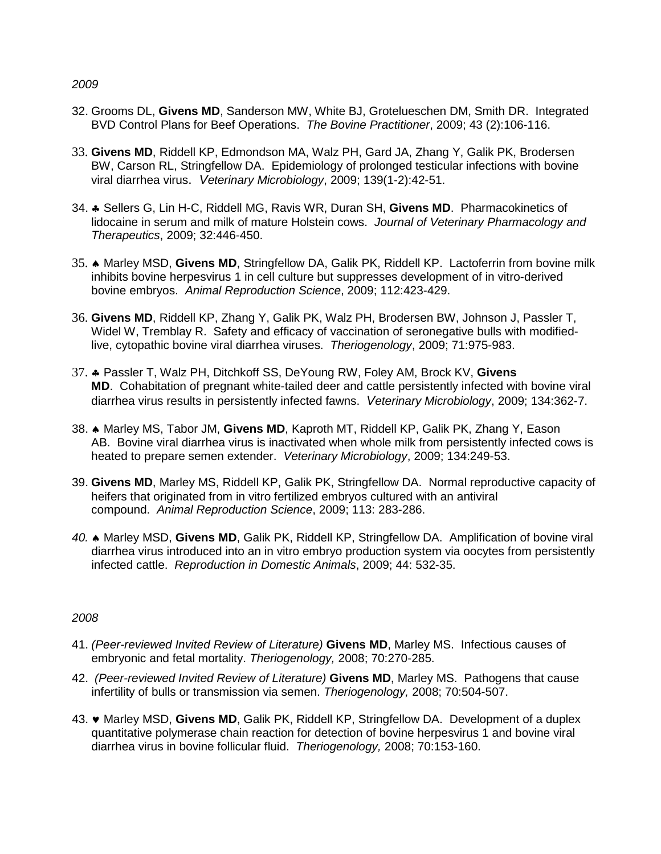- 32. Grooms DL, **Givens MD**, Sanderson MW, White BJ, Grotelueschen DM, Smith DR. Integrated BVD Control Plans for Beef Operations. *The Bovine Practitioner*, 2009; 43 (2):106-116.
- 33. **Givens MD**, Riddell KP, Edmondson MA, Walz PH, Gard JA, Zhang Y, Galik PK, Brodersen BW, Carson RL, Stringfellow DA. Epidemiology of prolonged testicular infections with bovine viral diarrhea virus. *Veterinary Microbiology*, 2009; 139(1-2):42-51.
- 34. ♣ Sellers G, Lin H-C, Riddell MG, Ravis WR, Duran SH, **Givens MD**. Pharmacokinetics of lidocaine in serum and milk of mature Holstein cows. *Journal of Veterinary Pharmacology and Therapeutics*, 2009; 32:446-450.
- 35. ♠ Marley MSD, **Givens MD**, Stringfellow DA, Galik PK, Riddell KP. Lactoferrin from bovine milk inhibits bovine herpesvirus 1 in cell culture but suppresses development of in vitro-derived bovine embryos. *Animal Reproduction Science*, 2009; 112:423-429.
- 36. **Givens MD**, Riddell KP, Zhang Y, Galik PK, Walz PH, Brodersen BW, Johnson J, Passler T, Widel W, Tremblay R. Safety and efficacy of vaccination of seronegative bulls with modifiedlive, cytopathic bovine viral diarrhea viruses. *Theriogenology*, 2009; 71:975-983.
- 37. ♣ Passler T, Walz PH, Ditchkoff SS, DeYoung RW, Foley AM, Brock KV, **Givens MD**. Cohabitation of pregnant white-tailed deer and cattle persistently infected with bovine viral diarrhea virus results in persistently infected fawns. *Veterinary Microbiology*, 2009; 134:362-7.
- 38. ♠ Marley MS, Tabor JM, **Givens MD**, Kaproth MT, Riddell KP, Galik PK, Zhang Y, Eason AB. Bovine viral diarrhea virus is inactivated when whole milk from persistently infected cows is heated to prepare semen extender. *Veterinary Microbiology*, 2009; 134:249-53.
- 39. **Givens MD**, Marley MS, Riddell KP, Galik PK, Stringfellow DA. Normal reproductive capacity of heifers that originated from in vitro fertilized embryos cultured with an antiviral compound. *Animal Reproduction Science*, 2009; 113: 283-286.
- *40.* ♠ Marley MSD, **Givens MD**, Galik PK, Riddell KP, Stringfellow DA. Amplification of bovine viral diarrhea virus introduced into an in vitro embryo production system via oocytes from persistently infected cattle. *Reproduction in Domestic Animals*, 2009; 44: 532-35.

- 41. *(Peer-reviewed Invited Review of Literature)* **Givens MD**, Marley MS. Infectious causes of embryonic and fetal mortality. *Theriogenology,* 2008; 70:270-285.
- 42. *(Peer-reviewed Invited Review of Literature)* **Givens MD**, Marley MS. Pathogens that cause infertility of bulls or transmission via semen. *Theriogenology,* 2008; 70:504-507.
- 43. ♥ Marley MSD, **Givens MD**, Galik PK, Riddell KP, Stringfellow DA. Development of a duplex quantitative polymerase chain reaction for detection of bovine herpesvirus 1 and bovine viral diarrhea virus in bovine follicular fluid. *Theriogenology,* 2008; 70:153-160.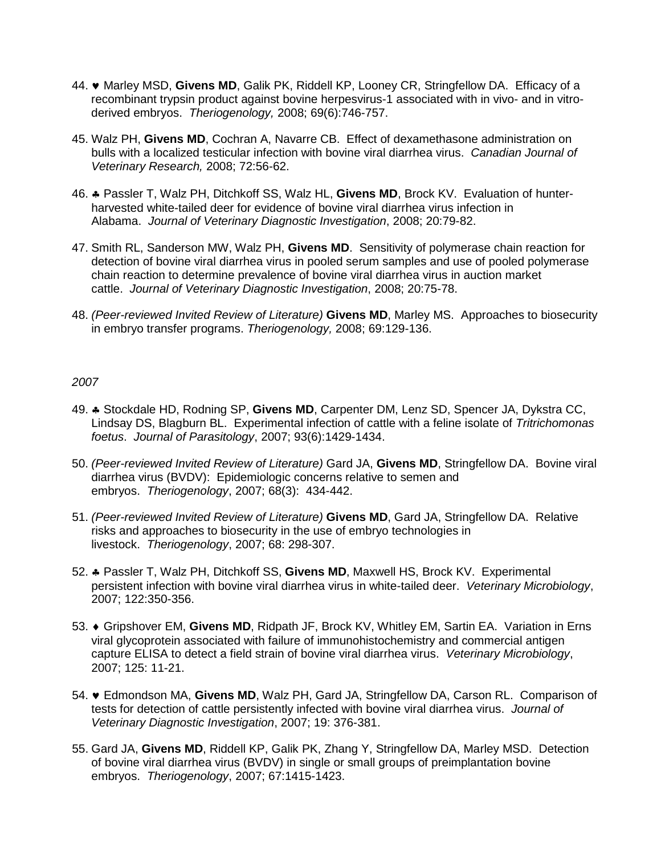- 44. ♥ Marley MSD, **Givens MD**, Galik PK, Riddell KP, Looney CR, Stringfellow DA. Efficacy of a recombinant trypsin product against bovine herpesvirus-1 associated with in vivo- and in vitroderived embryos. *Theriogenology,* 2008; 69(6):746-757.
- 45. Walz PH, **Givens MD**, Cochran A, Navarre CB. Effect of dexamethasone administration on bulls with a localized testicular infection with bovine viral diarrhea virus. *Canadian Journal of Veterinary Research,* 2008; 72:56-62.
- 46. ♣ Passler T, Walz PH, Ditchkoff SS, Walz HL, **Givens MD**, Brock KV. Evaluation of hunterharvested white-tailed deer for evidence of bovine viral diarrhea virus infection in Alabama. *Journal of Veterinary Diagnostic Investigation*, 2008; 20:79-82.
- 47. Smith RL, Sanderson MW, Walz PH, **Givens MD**. Sensitivity of polymerase chain reaction for detection of bovine viral diarrhea virus in pooled serum samples and use of pooled polymerase chain reaction to determine prevalence of bovine viral diarrhea virus in auction market cattle. *Journal of Veterinary Diagnostic Investigation*, 2008; 20:75-78.
- 48. *(Peer-reviewed Invited Review of Literature)* **Givens MD**, Marley MS. Approaches to biosecurity in embryo transfer programs. *Theriogenology,* 2008; 69:129-136.

- 49. ♣ Stockdale HD, Rodning SP, **Givens MD**, Carpenter DM, Lenz SD, Spencer JA, Dykstra CC, Lindsay DS, Blagburn BL. Experimental infection of cattle with a feline isolate of *Tritrichomonas foetus*. *Journal of Parasitology*, 2007; 93(6):1429-1434.
- 50. *(Peer-reviewed Invited Review of Literature)* Gard JA, **Givens MD**, Stringfellow DA. Bovine viral diarrhea virus (BVDV): Epidemiologic concerns relative to semen and embryos. *Theriogenology*, 2007; 68(3): 434-442.
- 51. *(Peer-reviewed Invited Review of Literature)* **Givens MD**, Gard JA, Stringfellow DA. Relative risks and approaches to biosecurity in the use of embryo technologies in livestock. *Theriogenology*, 2007; 68: 298-307.
- 52. ♣ Passler T, Walz PH, Ditchkoff SS, **Givens MD**, Maxwell HS, Brock KV. Experimental persistent infection with bovine viral diarrhea virus in white-tailed deer. *Veterinary Microbiology*, 2007; 122:350-356.
- 53. ♦ Gripshover EM, **Givens MD**, Ridpath JF, Brock KV, Whitley EM, Sartin EA. Variation in Erns viral glycoprotein associated with failure of immunohistochemistry and commercial antigen capture ELISA to detect a field strain of bovine viral diarrhea virus. *Veterinary Microbiology*, 2007; 125: 11-21.
- 54. ♥ Edmondson MA, **Givens MD**, Walz PH, Gard JA, Stringfellow DA, Carson RL. Comparison of tests for detection of cattle persistently infected with bovine viral diarrhea virus. *Journal of Veterinary Diagnostic Investigation*, 2007; 19: 376-381.
- 55. Gard JA, **Givens MD**, Riddell KP, Galik PK, Zhang Y, Stringfellow DA, Marley MSD. Detection of bovine viral diarrhea virus (BVDV) in single or small groups of preimplantation bovine embryos. *Theriogenology*, 2007; 67:1415-1423.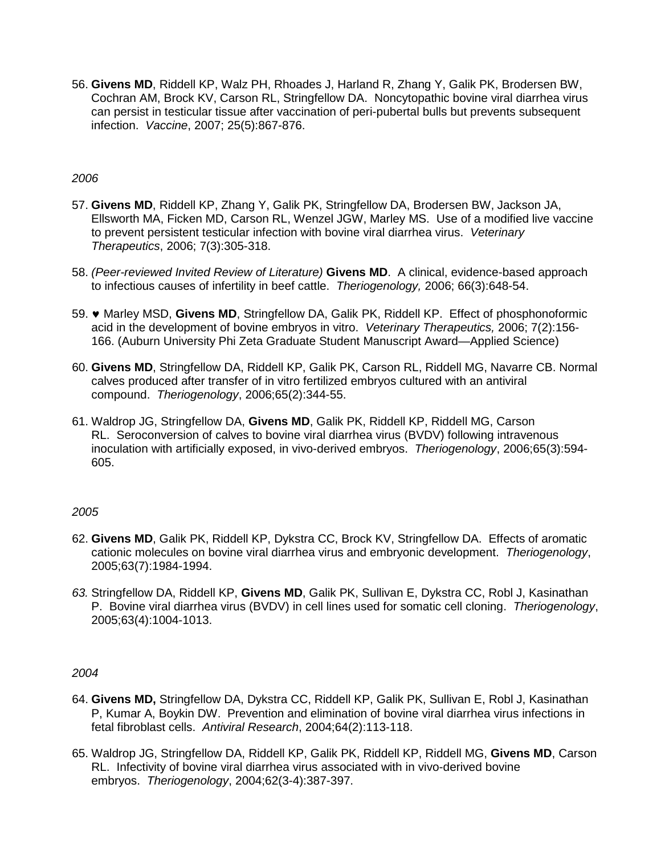56. **Givens MD**, Riddell KP, Walz PH, Rhoades J, Harland R, Zhang Y, Galik PK, Brodersen BW, Cochran AM, Brock KV, Carson RL, Stringfellow DA. Noncytopathic bovine viral diarrhea virus can persist in testicular tissue after vaccination of peri-pubertal bulls but prevents subsequent infection. *Vaccine*, 2007; 25(5):867-876.

## *2006*

- 57. **Givens MD**, Riddell KP, Zhang Y, Galik PK, Stringfellow DA, Brodersen BW, Jackson JA, Ellsworth MA, Ficken MD, Carson RL, Wenzel JGW, Marley MS. Use of a modified live vaccine to prevent persistent testicular infection with bovine viral diarrhea virus. *Veterinary Therapeutics*, 2006; 7(3):305-318.
- 58. *(Peer-reviewed Invited Review of Literature)* **Givens MD**. A clinical, evidence-based approach to infectious causes of infertility in beef cattle. *Theriogenology,* 2006; 66(3):648-54.
- 59. ♥ Marley MSD, **Givens MD**, Stringfellow DA, Galik PK, Riddell KP. Effect of phosphonoformic acid in the development of bovine embryos in vitro. *Veterinary Therapeutics,* 2006; 7(2):156- 166. (Auburn University Phi Zeta Graduate Student Manuscript Award—Applied Science)
- 60. **Givens MD**, Stringfellow DA, Riddell KP, Galik PK, Carson RL, Riddell MG, Navarre CB. Normal calves produced after transfer of in vitro fertilized embryos cultured with an antiviral compound. *Theriogenology*, 2006;65(2):344-55.
- 61. Waldrop JG, Stringfellow DA, **Givens MD**, Galik PK, Riddell KP, Riddell MG, Carson RL. Seroconversion of calves to bovine viral diarrhea virus (BVDV) following intravenous inoculation with artificially exposed, in vivo-derived embryos. *Theriogenology*, 2006;65(3):594- 605.

## *2005*

- 62. **Givens MD**, Galik PK, Riddell KP, Dykstra CC, Brock KV, Stringfellow DA. Effects of aromatic cationic molecules on bovine viral diarrhea virus and embryonic development. *Theriogenology*, 2005;63(7):1984-1994.
- *63.* Stringfellow DA, Riddell KP, **Givens MD**, Galik PK, Sullivan E, Dykstra CC, Robl J, Kasinathan P. Bovine viral diarrhea virus (BVDV) in cell lines used for somatic cell cloning. *Theriogenology*, 2005;63(4):1004-1013.

- 64. **Givens MD,** Stringfellow DA, Dykstra CC, Riddell KP, Galik PK, Sullivan E, Robl J, Kasinathan P, Kumar A, Boykin DW. Prevention and elimination of bovine viral diarrhea virus infections in fetal fibroblast cells. *Antiviral Research*, 2004;64(2):113-118.
- 65. Waldrop JG, Stringfellow DA, Riddell KP, Galik PK, Riddell KP, Riddell MG, **Givens MD**, Carson RL. Infectivity of bovine viral diarrhea virus associated with in vivo-derived bovine embryos. *Theriogenology*, 2004;62(3-4):387-397.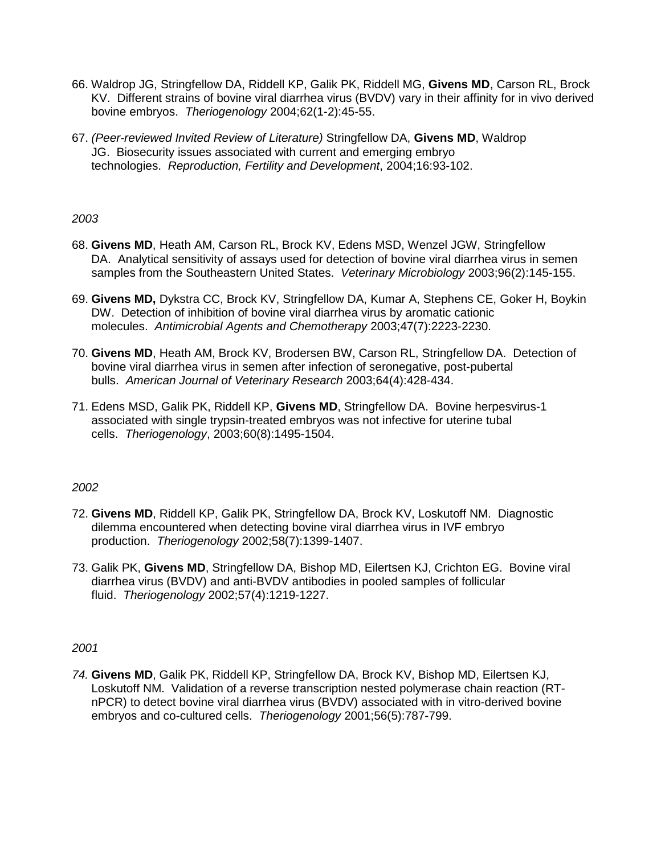- 66. Waldrop JG, Stringfellow DA, Riddell KP, Galik PK, Riddell MG, **Givens MD**, Carson RL, Brock KV. Different strains of bovine viral diarrhea virus (BVDV) vary in their affinity for in vivo derived bovine embryos. *Theriogenology* 2004;62(1-2):45-55.
- 67. *(Peer-reviewed Invited Review of Literature)* Stringfellow DA, **Givens MD**, Waldrop JG. Biosecurity issues associated with current and emerging embryo technologies. *Reproduction, Fertility and Development*, 2004;16:93-102.

- 68. **Givens MD**, Heath AM, Carson RL, Brock KV, Edens MSD, Wenzel JGW, Stringfellow DA. Analytical sensitivity of assays used for detection of bovine viral diarrhea virus in semen samples from the Southeastern United States. *Veterinary Microbiology* 2003;96(2):145-155.
- 69. **Givens MD,** Dykstra CC, Brock KV, Stringfellow DA, Kumar A, Stephens CE, Goker H, Boykin DW. Detection of inhibition of bovine viral diarrhea virus by aromatic cationic molecules. *Antimicrobial Agents and Chemotherapy* 2003;47(7):2223-2230.
- 70. **Givens MD**, Heath AM, Brock KV, Brodersen BW, Carson RL, Stringfellow DA. Detection of bovine viral diarrhea virus in semen after infection of seronegative, post-pubertal bulls. *American Journal of Veterinary Research* 2003;64(4):428-434.
- 71. Edens MSD, Galik PK, Riddell KP, **Givens MD**, Stringfellow DA. Bovine herpesvirus-1 associated with single trypsin-treated embryos was not infective for uterine tubal cells. *Theriogenology*, 2003;60(8):1495-1504.

## *2002*

- 72. **Givens MD**, Riddell KP, Galik PK, Stringfellow DA, Brock KV, Loskutoff NM. Diagnostic dilemma encountered when detecting bovine viral diarrhea virus in IVF embryo production. *Theriogenology* 2002;58(7):1399-1407.
- 73. Galik PK, **Givens MD**, Stringfellow DA, Bishop MD, Eilertsen KJ, Crichton EG. Bovine viral diarrhea virus (BVDV) and anti-BVDV antibodies in pooled samples of follicular fluid. *Theriogenology* 2002;57(4):1219-1227.

## *2001*

*74.* **Givens MD**, Galik PK, Riddell KP, Stringfellow DA, Brock KV, Bishop MD, Eilertsen KJ, Loskutoff NM. Validation of a reverse transcription nested polymerase chain reaction (RTnPCR) to detect bovine viral diarrhea virus (BVDV) associated with in vitro-derived bovine embryos and co-cultured cells. *Theriogenology* 2001;56(5):787-799.